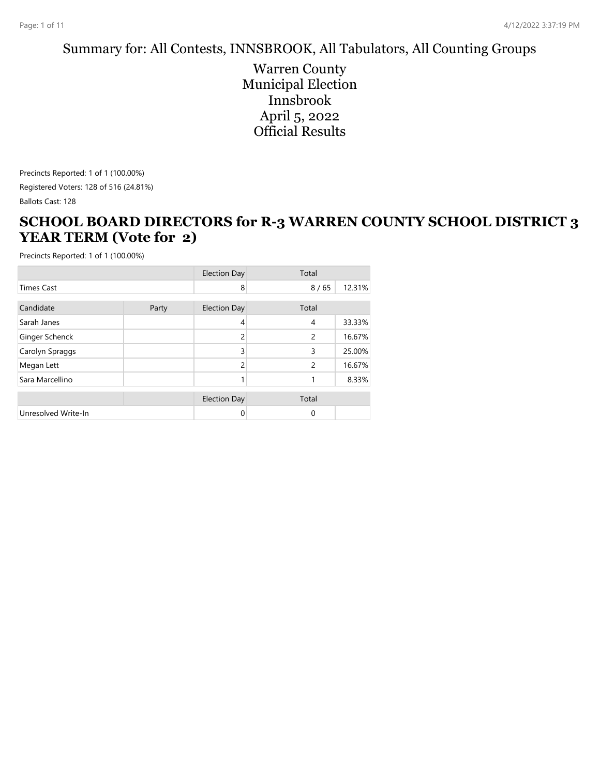#### Summary for: All Contests, INNSBROOK, All Tabulators, All Counting Groups

Warren County Municipal Election Innsbrook April 5, 2022 Official Results

Precincts Reported: 1 of 1 (100.00%) Registered Voters: 128 of 516 (24.81%) Ballots Cast: 128

#### **SCHOOL BOARD DIRECTORS for R-3 WARREN COUNTY SCHOOL DISTRICT 3 YEAR TERM (Vote for 2)**

|                     |       | <b>Election Day</b> | Total          |        |
|---------------------|-------|---------------------|----------------|--------|
| <b>Times Cast</b>   |       | 8                   | 8/65           | 12.31% |
| Candidate           | Party | <b>Election Day</b> | Total          |        |
| Sarah Janes         |       | 4                   | 4              | 33.33% |
| Ginger Schenck      |       | 2                   | 2              | 16.67% |
| Carolyn Spraggs     |       | 3                   | 3              | 25.00% |
| Megan Lett          |       | $\mathcal{P}$       | $\overline{2}$ | 16.67% |
| Sara Marcellino     |       |                     |                | 8.33%  |
|                     |       | <b>Election Day</b> | Total          |        |
| Unresolved Write-In |       | 0                   | $\mathbf 0$    |        |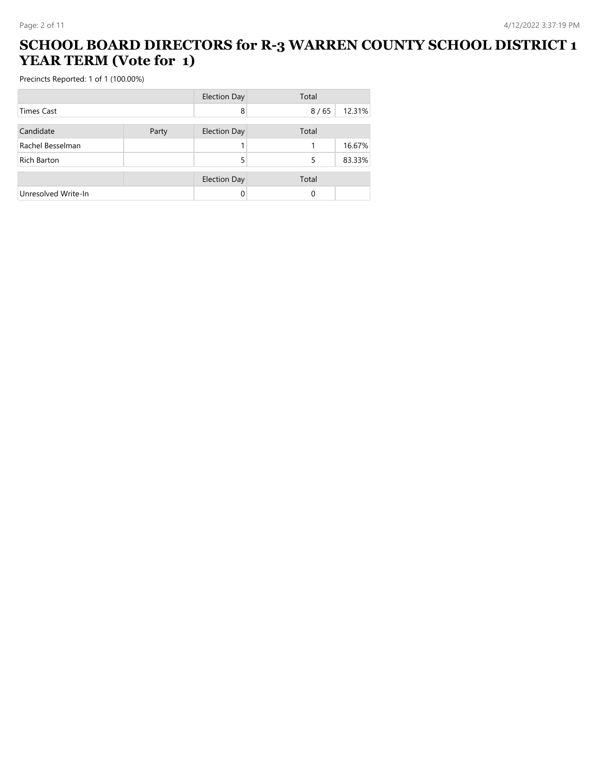#### **SCHOOL BOARD DIRECTORS for R-3 WARREN COUNTY SCHOOL DISTRICT 1 YEAR TERM (Vote for 1)**

|                     |       | <b>Election Day</b> | Total |        |
|---------------------|-------|---------------------|-------|--------|
| Times Cast          |       | 8                   | 8/65  | 12.31% |
| Candidate           | Party | <b>Election Day</b> | Total |        |
| Rachel Besselman    |       |                     |       | 16.67% |
| <b>Rich Barton</b>  |       | 5                   | 5     | 83.33% |
|                     |       | <b>Election Day</b> | Total |        |
| Unresolved Write-In |       | 0                   | 0     |        |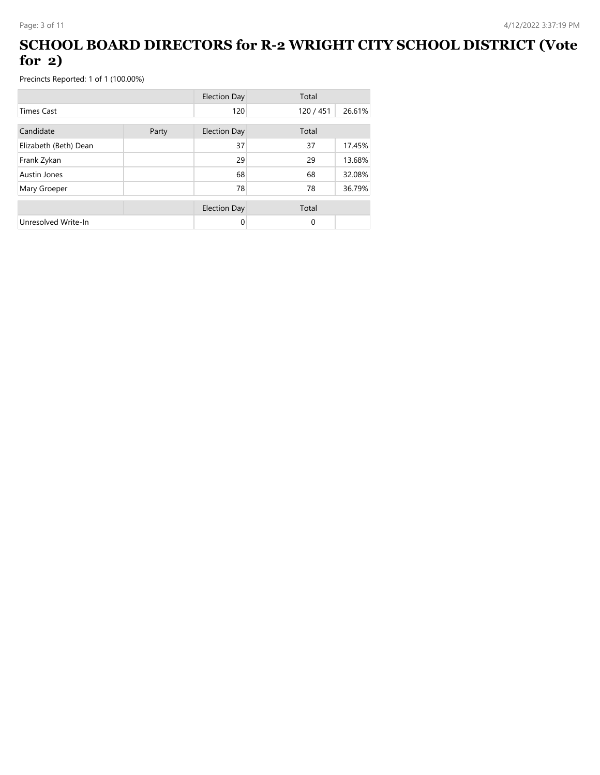### **SCHOOL BOARD DIRECTORS for R-2 WRIGHT CITY SCHOOL DISTRICT (Vote for 2)**

|                       |       | <b>Election Day</b> | Total     |        |
|-----------------------|-------|---------------------|-----------|--------|
| <b>Times Cast</b>     |       | 120                 | 120 / 451 | 26.61% |
| Candidate             | Party | <b>Election Day</b> | Total     |        |
| Elizabeth (Beth) Dean |       | 37                  | 37        | 17.45% |
| Frank Zykan           |       | 29                  | 29        | 13.68% |
| Austin Jones          |       | 68                  | 68        | 32.08% |
| Mary Groeper          |       | 78                  | 78        | 36.79% |
|                       |       | <b>Election Day</b> | Total     |        |
| Unresolved Write-In   |       | 0                   | $\Omega$  |        |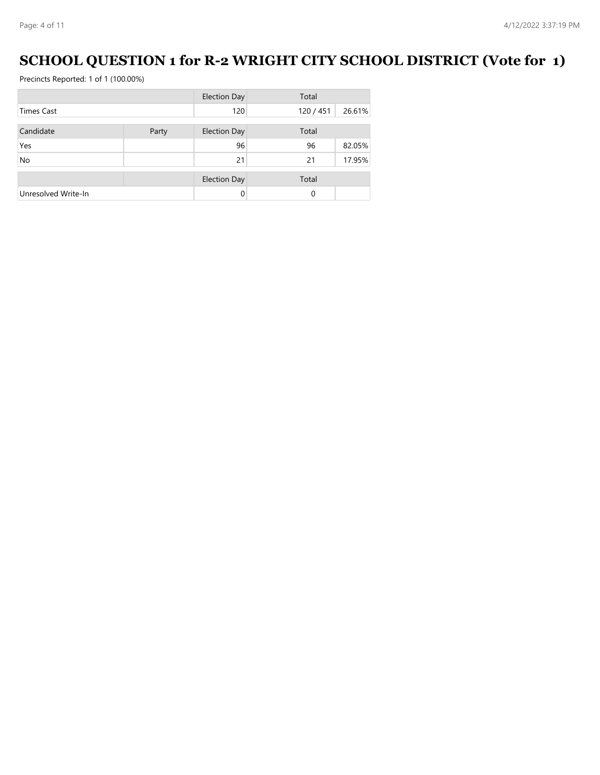## **SCHOOL QUESTION 1 for R-2 WRIGHT CITY SCHOOL DISTRICT (Vote for 1)**

|                     |       | <b>Election Day</b> | Total     |        |
|---------------------|-------|---------------------|-----------|--------|
| <b>Times Cast</b>   |       | 120                 | 120 / 451 | 26.61% |
| Candidate           | Party | <b>Election Day</b> | Total     |        |
| Yes                 |       | 96                  | 96        | 82.05% |
| No                  |       | 21                  | 21        | 17.95% |
|                     |       | <b>Election Day</b> | Total     |        |
| Unresolved Write-In |       | 0                   | 0         |        |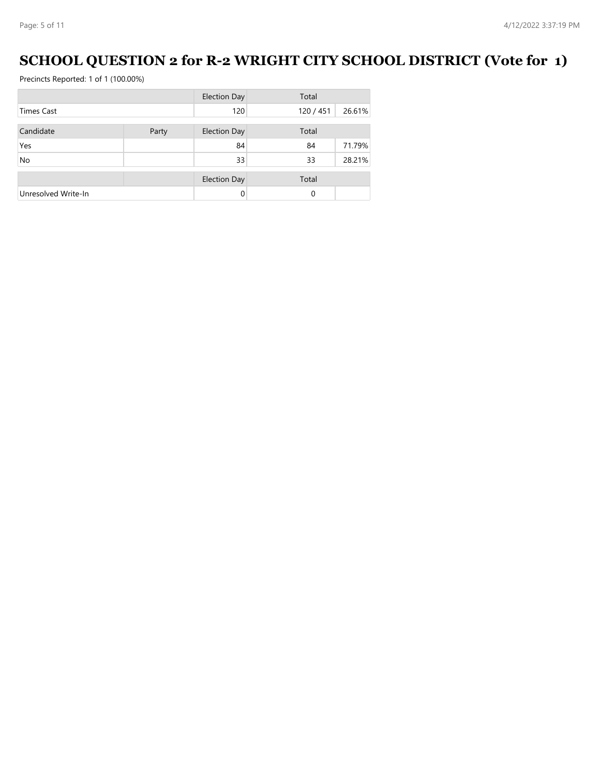## **SCHOOL QUESTION 2 for R-2 WRIGHT CITY SCHOOL DISTRICT (Vote for 1)**

|                     |       | <b>Election Day</b> | Total    |        |
|---------------------|-------|---------------------|----------|--------|
| <b>Times Cast</b>   |       | 120                 | 120/451  | 26.61% |
| Candidate           | Party | <b>Election Day</b> | Total    |        |
| Yes                 |       | 84                  | 84       | 71.79% |
| <b>No</b>           |       | 33                  | 33       | 28.21% |
|                     |       | <b>Election Day</b> | Total    |        |
| Unresolved Write-In |       |                     | $\Omega$ |        |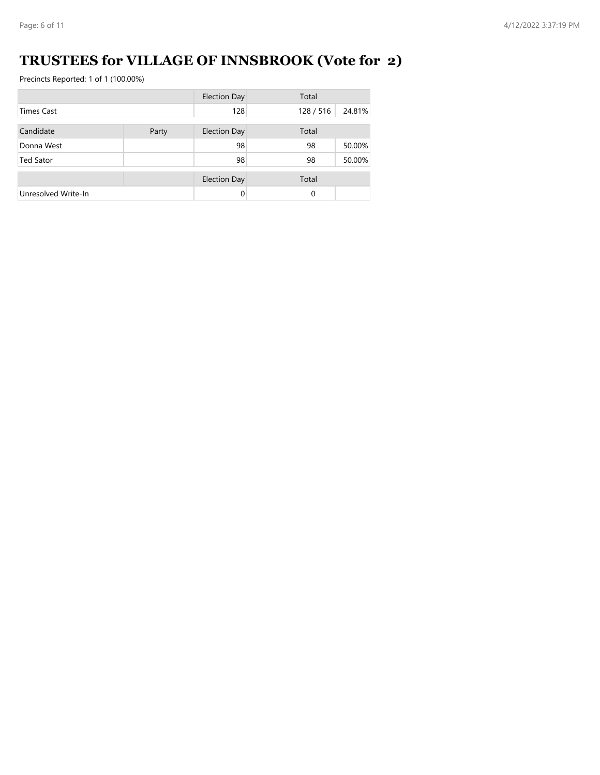## **TRUSTEES for VILLAGE OF INNSBROOK (Vote for 2)**

|                     |       | <b>Election Day</b> | Total     |        |
|---------------------|-------|---------------------|-----------|--------|
| <b>Times Cast</b>   |       | 128                 | 128 / 516 | 24.81% |
| Candidate           | Party | <b>Election Day</b> | Total     |        |
| Donna West          |       | 98                  | 98        | 50.00% |
| <b>Ted Sator</b>    |       | 98                  | 98        | 50.00% |
|                     |       |                     |           |        |
|                     |       | <b>Election Day</b> | Total     |        |
| Unresolved Write-In |       | $\Omega$            | 0         |        |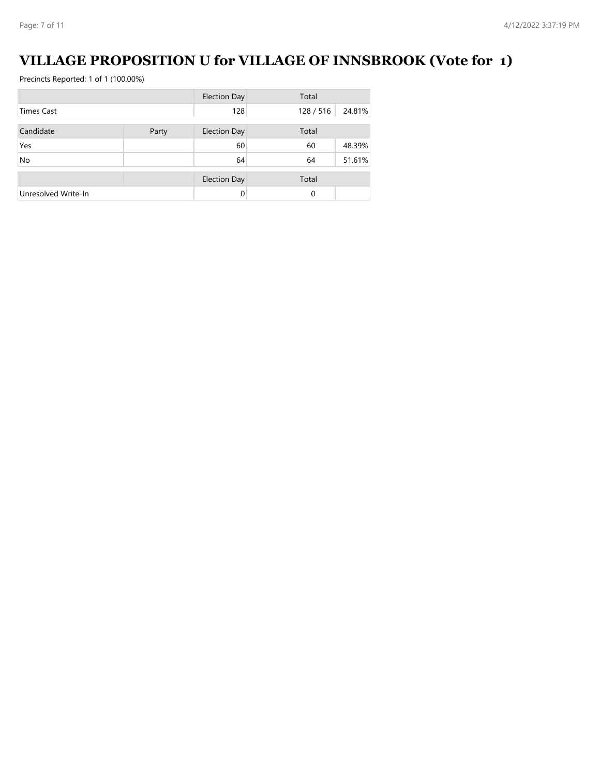## **VILLAGE PROPOSITION U for VILLAGE OF INNSBROOK (Vote for 1)**

|                     |       | <b>Election Day</b> | Total   |        |
|---------------------|-------|---------------------|---------|--------|
| <b>Times Cast</b>   |       | 128                 | 128/516 | 24.81% |
| Candidate           | Party | <b>Election Day</b> | Total   |        |
| Yes                 |       | 60                  | 60      | 48.39% |
| <b>No</b>           |       | 64                  | 64      | 51.61% |
|                     |       | <b>Election Day</b> | Total   |        |
| Unresolved Write-In |       | $\Omega$            | 0       |        |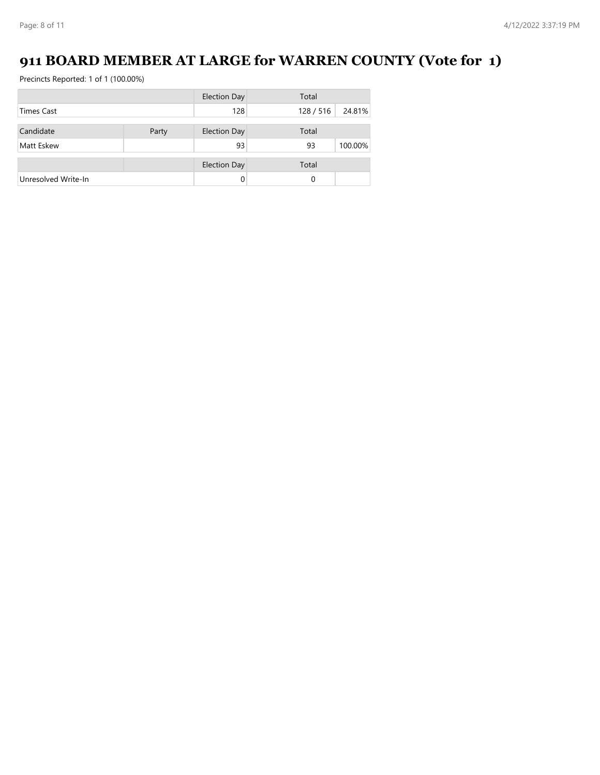## **911 BOARD MEMBER AT LARGE for WARREN COUNTY (Vote for 1)**

|                     |       | <b>Election Day</b> | Total   |         |
|---------------------|-------|---------------------|---------|---------|
| <b>Times Cast</b>   |       | 128                 | 128/516 | 24.81%  |
|                     |       |                     |         |         |
| Candidate           | Party | <b>Election Day</b> | Total   |         |
| Matt Eskew          |       | 93                  | 93      | 100.00% |
|                     |       | <b>Election Day</b> | Total   |         |
|                     |       |                     |         |         |
| Unresolved Write-In |       | 0                   | 0       |         |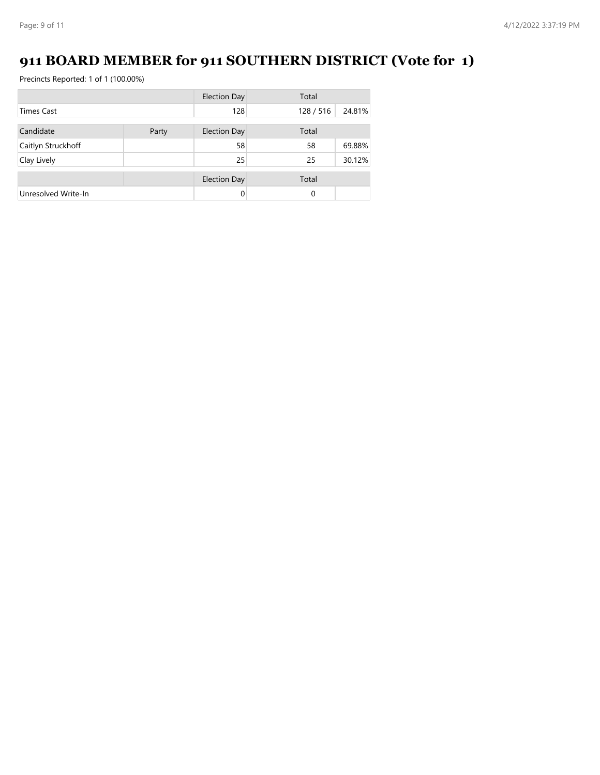# **911 BOARD MEMBER for 911 SOUTHERN DISTRICT (Vote for 1)**

|                     |       | <b>Election Day</b> | Total   |        |
|---------------------|-------|---------------------|---------|--------|
| <b>Times Cast</b>   |       | 128                 | 128/516 | 24.81% |
| Candidate           | Party | <b>Election Day</b> | Total   |        |
|                     |       | 58                  | 58      | 69.88% |
| Caitlyn Struckhoff  |       |                     |         |        |
| Clay Lively         |       | 25                  | 25      | 30.12% |
|                     |       | <b>Election Day</b> | Total   |        |
| Unresolved Write-In |       | 0                   | 0       |        |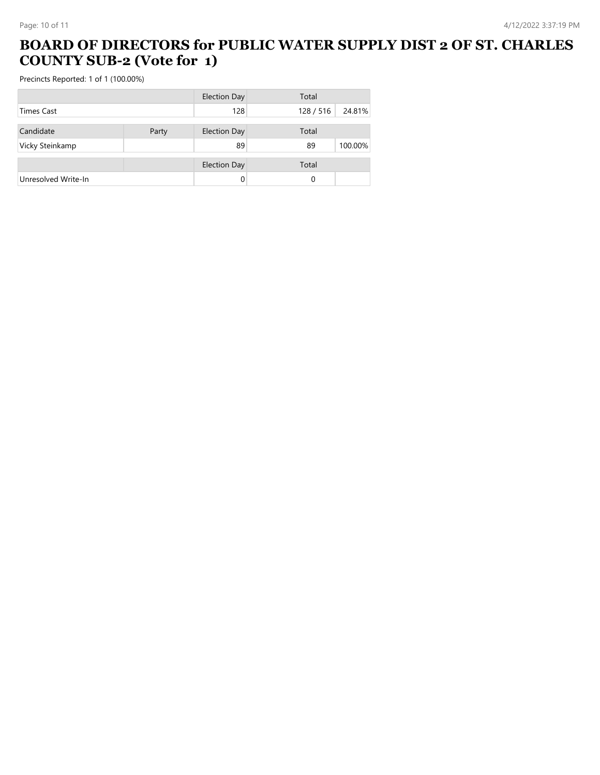#### **BOARD OF DIRECTORS for PUBLIC WATER SUPPLY DIST 2 OF ST. CHARLES COUNTY SUB-2 (Vote for 1)**

|                     |       | <b>Election Day</b> | Total     |         |
|---------------------|-------|---------------------|-----------|---------|
| <b>Times Cast</b>   |       | 128                 | 128 / 516 | 24.81%  |
|                     |       |                     |           |         |
| Candidate           | Party | <b>Election Day</b> | Total     |         |
| Vicky Steinkamp     |       | 89                  | 89        | 100.00% |
|                     |       | <b>Election Day</b> | Total     |         |
| Unresolved Write-In |       |                     | 0         |         |